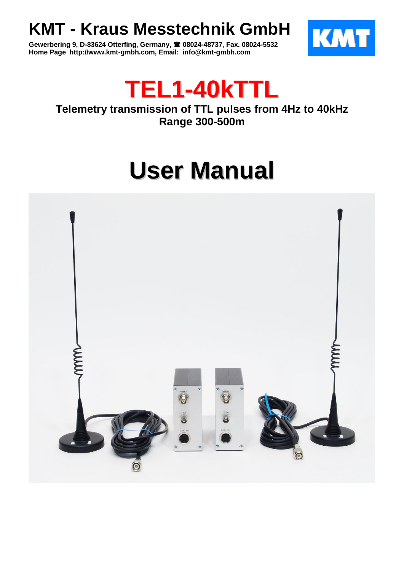## **KMT - Kraus Messtechnik GmbH**

**Gewerbering 9, D-83624 Otterfing, Germany, 08024-48737, Fax. 08024-5532 Home Page http://www.kmt-gmbh.com, Email: info@kmt-gmbh.com**





### **Telemetry transmission of TTL pulses from 4Hz to 40kHz Range 300-500m**

# **User Manual**

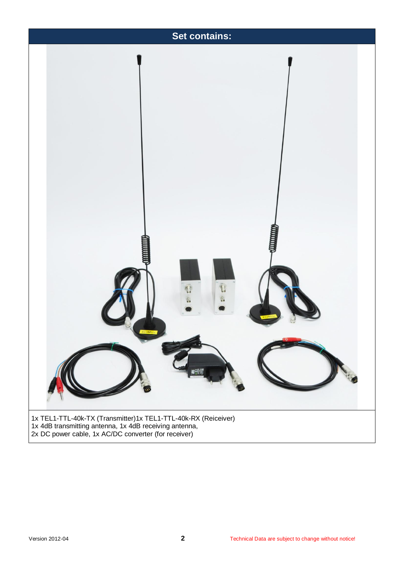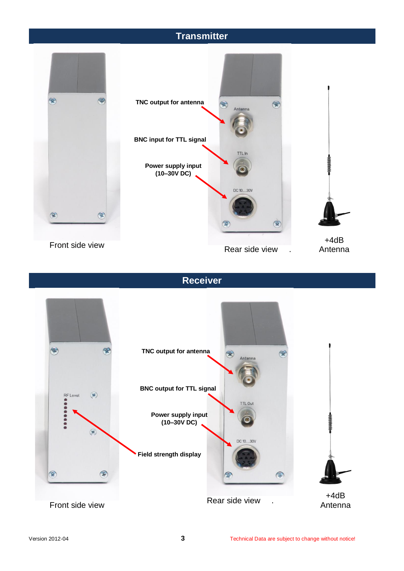### **Transmitter**



#### **Receiver**

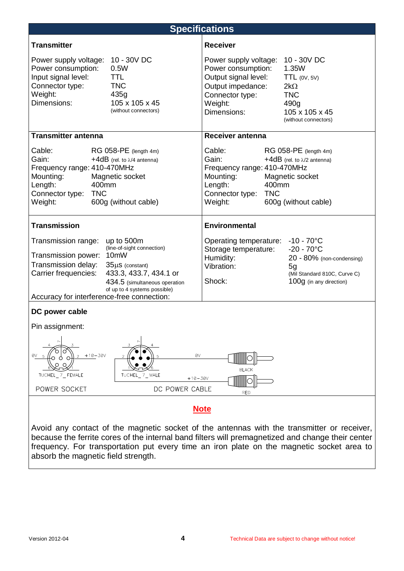

frequency. For transportation put every time an iron plate on the magnetic socket area to absorb the magnetic field strength.